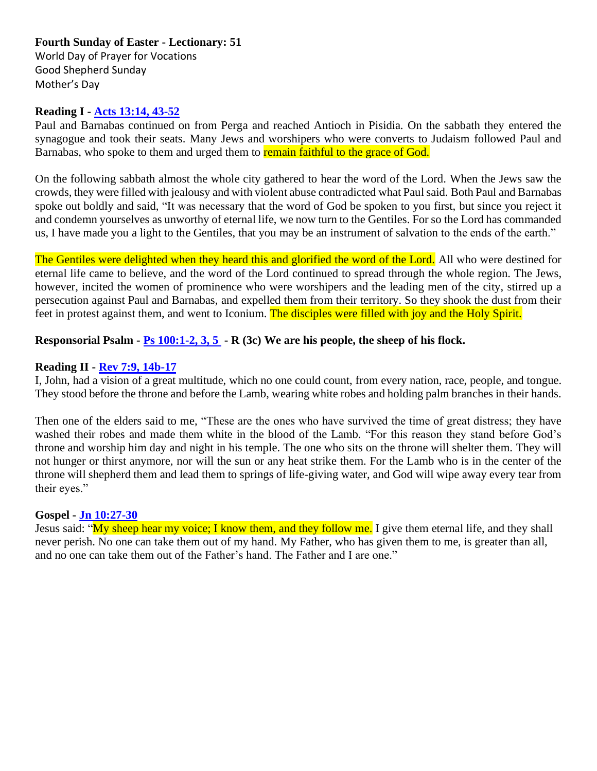## **Fourth Sunday of Easter - Lectionary: 51** World Day of Prayer for Vocations Good Shepherd Sunday Mother's Day

## **Reading I - [Acts 13:14, 43-52](https://bible.usccb.org/bible/acts/13?14%20)**

Paul and Barnabas continued on from Perga and reached Antioch in Pisidia. On the sabbath they entered the synagogue and took their seats. Many Jews and worshipers who were converts to Judaism followed Paul and Barnabas, who spoke to them and urged them to remain faithful to the grace of God.

On the following sabbath almost the whole city gathered to hear the word of the Lord. When the Jews saw the crowds, they were filled with jealousy and with violent abuse contradicted what Paul said. Both Paul and Barnabas spoke out boldly and said, "It was necessary that the word of God be spoken to you first, but since you reject it and condemn yourselves as unworthy of eternal life, we now turn to the Gentiles. For so the Lord has commanded us, I have made you a light to the Gentiles, that you may be an instrument of salvation to the ends of the earth."

The Gentiles were delighted when they heard this and glorified the word of the Lord. All who were destined for eternal life came to believe, and the word of the Lord continued to spread through the whole region. The Jews, however, incited the women of prominence who were worshipers and the leading men of the city, stirred up a persecution against Paul and Barnabas, and expelled them from their territory. So they shook the dust from their feet in protest against them, and went to Iconium. The disciples were filled with joy and the Holy Spirit.

## **Responsorial Psalm - [Ps 100:1-2, 3, 5](https://bible.usccb.org/bible/psalms/100?1%20) - R (3c) We are his people, the sheep of his flock.**

#### **Reading II - [Rev 7:9, 14b-17](https://bible.usccb.org/bible/revelation/7?9%20)**

I, John, had a vision of a great multitude, which no one could count, from every nation, race, people, and tongue. They stood before the throne and before the Lamb, wearing white robes and holding palm branches in their hands.

Then one of the elders said to me, "These are the ones who have survived the time of great distress; they have washed their robes and made them white in the blood of the Lamb. "For this reason they stand before God's throne and worship him day and night in his temple. The one who sits on the throne will shelter them. They will not hunger or thirst anymore, nor will the sun or any heat strike them. For the Lamb who is in the center of the throne will shepherd them and lead them to springs of life-giving water, and God will wipe away every tear from their eyes."

#### **Gospel - [Jn 10:27-30](https://bible.usccb.org/bible/john/10?27%20)**

Jesus said: "My sheep hear my voice; I know them, and they follow me. I give them eternal life, and they shall never perish. No one can take them out of my hand. My Father, who has given them to me, is greater than all, and no one can take them out of the Father's hand. The Father and I are one."